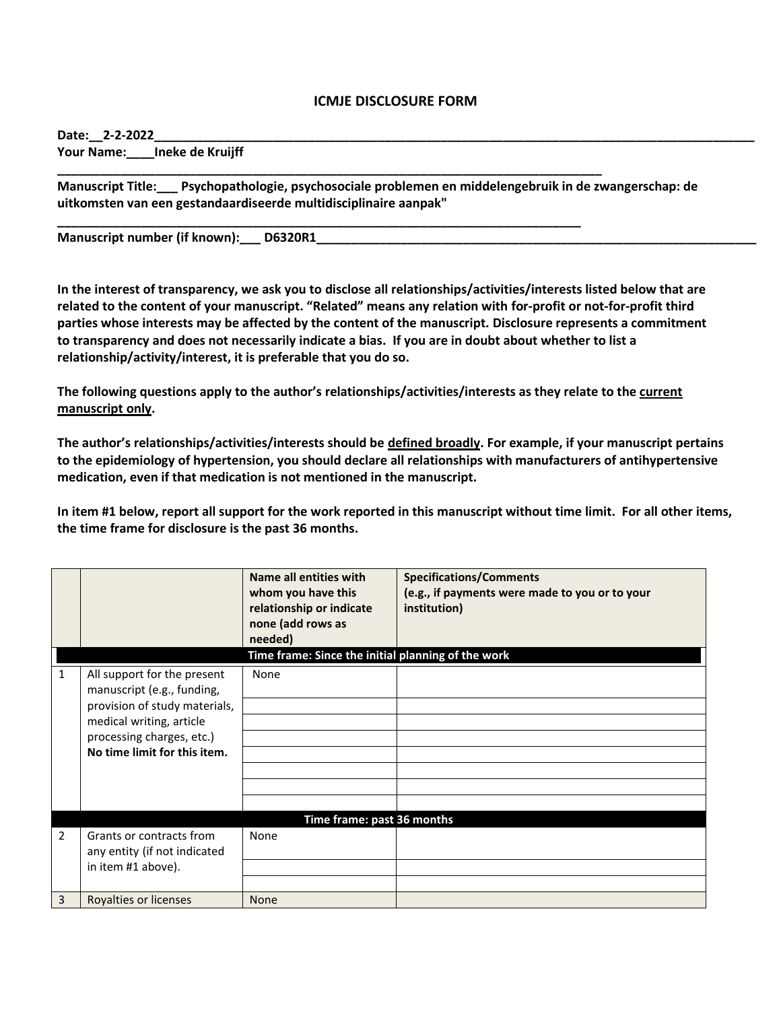## **ICMJE DISCLOSURE FORM**

Date: 2-2-2022

**Your Name:\_\_\_\_Ineke de Kruijff** 

**Manuscript Title:\_\_\_ Psychopathologie, psychosociale problemen en middelengebruik in de zwangerschap: de uitkomsten van een gestandaardiseerde multidisciplinaire aanpak"**

**\_\_\_\_\_\_\_\_\_\_\_\_\_\_\_\_\_\_\_\_\_\_\_\_\_\_\_\_\_\_\_\_\_\_\_\_\_\_\_\_\_\_\_\_\_\_\_\_\_\_\_\_\_\_\_\_\_\_\_\_\_\_\_\_\_\_\_\_\_\_\_\_\_\_\_\_\_\_**

**\_\_\_\_\_\_\_\_\_\_\_\_\_\_\_\_\_\_\_\_\_\_\_\_\_\_\_\_\_\_\_\_\_\_\_\_\_\_\_\_\_\_\_\_\_\_\_\_\_\_\_\_\_\_\_\_\_\_\_\_\_\_\_\_\_\_\_\_\_\_\_\_\_\_\_**

**Manuscript number (if known):\_\_\_ D6320R1\_\_\_\_\_\_\_\_\_\_\_\_\_\_\_\_\_\_\_\_\_\_\_\_\_\_\_\_\_\_\_\_\_\_\_\_\_\_\_\_\_\_\_\_\_\_\_\_\_\_\_\_\_\_\_\_\_\_\_\_\_\_\_**

**In the interest of transparency, we ask you to disclose all relationships/activities/interests listed below that are related to the content of your manuscript. "Related" means any relation with for-profit or not-for-profit third parties whose interests may be affected by the content of the manuscript. Disclosure represents a commitment to transparency and does not necessarily indicate a bias. If you are in doubt about whether to list a relationship/activity/interest, it is preferable that you do so.** 

**The following questions apply to the author's relationships/activities/interests as they relate to the current manuscript only.**

**The author's relationships/activities/interests should be defined broadly. For example, if your manuscript pertains to the epidemiology of hypertension, you should declare all relationships with manufacturers of antihypertensive medication, even if that medication is not mentioned in the manuscript.** 

**In item #1 below, report all support for the work reported in this manuscript without time limit. For all other items, the time frame for disclosure is the past 36 months.** 

|   |                                                                                                                                                                                     | Name all entities with<br>whom you have this<br>relationship or indicate<br>none (add rows as<br>needed)<br>Time frame: Since the initial planning of the work | <b>Specifications/Comments</b><br>(e.g., if payments were made to you or to your<br>institution) |  |  |
|---|-------------------------------------------------------------------------------------------------------------------------------------------------------------------------------------|----------------------------------------------------------------------------------------------------------------------------------------------------------------|--------------------------------------------------------------------------------------------------|--|--|
| 1 | All support for the present<br>manuscript (e.g., funding,<br>provision of study materials,<br>medical writing, article<br>processing charges, etc.)<br>No time limit for this item. | None                                                                                                                                                           |                                                                                                  |  |  |
|   | Time frame: past 36 months                                                                                                                                                          |                                                                                                                                                                |                                                                                                  |  |  |
| 2 | Grants or contracts from<br>any entity (if not indicated<br>in item #1 above).                                                                                                      | None                                                                                                                                                           |                                                                                                  |  |  |
| 3 | Royalties or licenses                                                                                                                                                               | <b>None</b>                                                                                                                                                    |                                                                                                  |  |  |